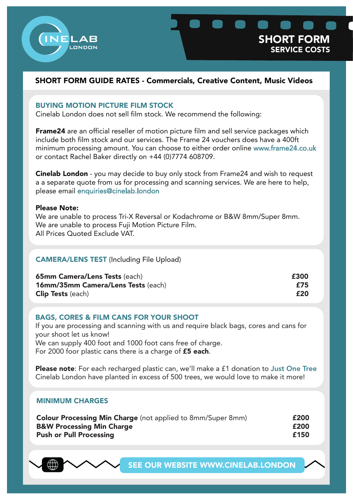

# BUYING MOTION PICTURE FILM STOCK

Cinelab London does not sell film stock. We recommend the following:

**Frame24** are an official reseller of motion picture film and sell service packages which include both film stock and our services. The Frame 24 vouchers does have a 400ft minimum processing amount. You can choose to either order online www.frame24.co.uk or contact Rachel Baker directly on +44 (0)7774 608709.

Cinelab London - you may decide to buy only stock from Frame24 and wish to request a a separate quote from us for processing and scanning services. We are here to help, please email enquiries@cinelab.london

#### Please Note:

We are unable to process Tri-X Reversal or Kodachrome or B&W 8mm/Super 8mm. We are unable to process Fuji Motion Picture Film. All Prices Quoted Exclude VAT.

# CAMERA/LENS TEST (Including File Upload)

| <b>65mm Camera/Lens Tests (each)</b>      | £300 |
|-------------------------------------------|------|
| <b>16mm/35mm Camera/Lens Tests (each)</b> | £75  |
| <b>Clip Tests</b> (each)                  | £20  |

### BAGS, CORES & FILM CANS FOR YOUR SHOOT

If you are processing and scanning with us and require black bags, cores and cans for your shoot let us know! We can supply 400 foot and 1000 foot cans free of charge. For 2000 foor plastic cans there is a charge of **£5 each**.

Please note: For each recharged plastic can, we'll make a £1 donation to Just One Tree Cinelab London have planted in excess of 500 trees, we would love to make it more!

### MINIMUM CHARGES

| <b>Colour Processing Min Charge</b> (not applied to 8mm/Super 8mm) | £200 |
|--------------------------------------------------------------------|------|
| <b>B&amp;W Processing Min Charge</b>                               | £200 |
| <b>Push or Pull Processing</b>                                     | £150 |

SEE OUR WEBSITE WWW.CINELAB.LONDON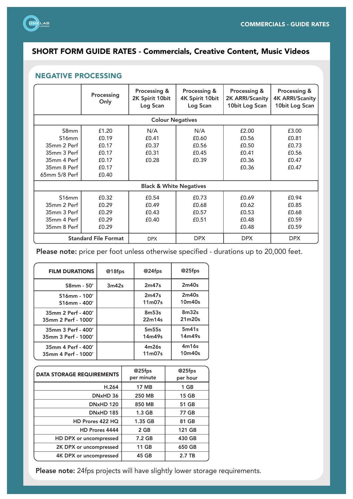

# NEGATIVE PROCESSING

|                                                                                                         | Processing<br>Only                                          | Processing &<br>2K Spirit 10bit<br>Log Scan | Processing &<br>4K Spirit 10bit<br>Log Scan | Processing &<br>2K ARRI/Scanity<br>10bit Log Scan  | Processing &<br><b>4K ARRI/Scanity</b><br>10bit Log Scan |
|---------------------------------------------------------------------------------------------------------|-------------------------------------------------------------|---------------------------------------------|---------------------------------------------|----------------------------------------------------|----------------------------------------------------------|
|                                                                                                         |                                                             | <b>Colour Negatives</b>                     |                                             |                                                    |                                                          |
| S8mm<br>S <sub>16</sub> mm<br>35mm 2 Perf<br>35mm 3 Perf<br>35mm 4 Perf<br>35mm 8 Perf<br>65mm 5/8 Perf | £1.20<br>£0.19<br>£0.17<br>£0.17<br>£0.17<br>£0.17<br>£0.40 | N/A<br>£0.41<br>£0.37<br>£0.31<br>£0.28     | N/A<br>£0.60<br>£0.56<br>£0.45<br>£0.39     | £2.00<br>£0.56<br>£0.50<br>£0.41<br>£0.36<br>£0.36 | £3.00<br>£0.81<br>£0.73<br>£0.56<br>£0.47<br>£0.47       |
| <b>Black &amp; White Negatives</b>                                                                      |                                                             |                                             |                                             |                                                    |                                                          |
| S16mm<br>35mm 2 Perf<br>35mm 3 Perf<br>35mm 4 Perf<br>35mm 8 Perf                                       | £0.32<br>£0.29<br>£0.29<br>£0.29<br>£0.29                   | £0.54<br>£0.49<br>£0.43<br>£0.40            | £0.73<br>£0.68<br>£0.57<br>£0.51            | £0.69<br>£0.62<br>£0.53<br>£0.48<br>£0.48          | £0.94<br>£0.85<br>£0.68<br>£0.59<br>£0.59                |
|                                                                                                         | <b>Standard File Format</b>                                 | <b>DPX</b>                                  | <b>DPX</b>                                  | <b>DPX</b>                                         | <b>DPX</b>                                               |

Please note: price per foot unless otherwise specified - durations up to 20,000 feet.

| <b>FILM DURATIONS</b> | @18fps | @24fps                          | @25fps            |
|-----------------------|--------|---------------------------------|-------------------|
| $S8mm - 50'$          | 3m42s  | 2m47s                           | 2m40s             |
| S16mm - 100'          |        | 2m47s                           | 2m40s             |
| S16mm - 400'          |        | 11 <sub>m</sub> 07 <sub>s</sub> | 10m40s            |
| 35mm 2 Perf - 400'    |        | 8m53s                           | 8 <sub>m32s</sub> |
| 35mm 2 Perf - 1000'   |        | 22m14s                          | 21m20s            |
| 35mm 3 Perf - 400'    |        | 5 <sub>m55s</sub>               | 5m41s             |
| 35mm 3 Perf - 1000'   |        | 14m49s                          | 14m49s            |
| 35mm 4 Perf - 400'    |        | 4m26s                           | 4m16s             |
| 35mm 4 Perf - 1000'   |        | 11 <sub>m</sub> 07 <sub>s</sub> | 10m40s            |

| <b>DATA STORAGE REQUIREMENTS</b> | @25fps<br>per minute | @25fps<br>per hour |
|----------------------------------|----------------------|--------------------|
| H.264                            | <b>17 MB</b>         | 1 GB               |
| DNxHD 36                         | <b>250 MB</b>        | <b>15 GB</b>       |
| <b>DNxHD 120</b>                 | 850 MB               | 51 GB              |
| <b>DNxHD 185</b>                 | 1.3 <sub>GB</sub>    | 77 GB              |
| HD Prores 422 HQ                 | 1.35 GB              | 81 GB              |
| HD Prores 4444                   | 2 GB                 | 121 GB             |
| HD DPX or uncompressed           | 7.2 GB               | 430 GB             |
| 2K DPX or uncompressed           | 11 GB                | 650 GB             |
| 4K DPX or uncompressed           | 45 GB                | 2.7 TB             |

Please note: 24fps projects will have slightly lower storage requirements.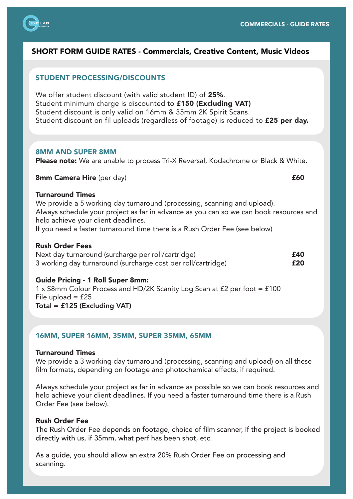

# STUDENT PROCESSING/DISCOUNTS

We offer student discount (with valid student ID) of 25%. Student minimum charge is discounted to £150 (Excluding VAT) Student discount is only valid on 16mm & 35mm 2K Spirit Scans. Student discount on fil uploads (regardless of footage) is reduced to **£25 per day.** 

#### 8MM AND SUPER 8MM

Please note: We are unable to process Tri-X Reversal, Kodachrome or Black & White.

8mm Camera Hire (per day) **E60** 

#### Turnaround Times

We provide a 5 working day turnaround (processing, scanning and upload). Always schedule your project as far in advance as you can so we can book resources and help achieve your client deadlines. If you need a faster turnaround time there is a Rush Order Fee (see below)

### Rush Order Fees

Next day turnaround (surcharge per roll/cartridge)  $f = 40$ 3 working day turnaround (surcharge cost per roll/cartridge) **£20** 

#### Guide Pricing - 1 Roll Super 8mm:

1 x S8mm Colour Process and HD/2K Scanity Log Scan at £2 per foot = £100 File upload  $=$  £25 Total = £125 (Excluding VAT)

### 16MM, SUPER 16MM, 35MM, SUPER 35MM, 65MM

#### Turnaround Times

We provide a 3 working day turnaround (processing, scanning and upload) on all these film formats, depending on footage and photochemical effects, if required.

Always schedule your project as far in advance as possible so we can book resources and help achieve your client deadlines. If you need a faster turnaround time there is a Rush Order Fee (see below).

#### Rush Order Fee

The Rush Order Fee depends on footage, choice of film scanner, if the project is booked directly with us, if 35mm, what perf has been shot, etc.

As a guide, you should allow an extra 20% Rush Order Fee on processing and scanning.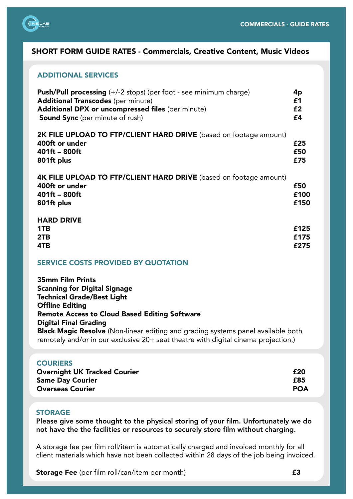

# ADDITIONAL SERVICES

| <b>Push/Pull processing</b> (+/-2 stops) (per foot - see minimum charge)<br><b>Additional Transcodes (per minute)</b><br>Additional DPX or uncompressed files (per minute)<br><b>Sound Sync</b> (per minute of rush) | 4p<br>£1<br>£2<br>£4 |
|----------------------------------------------------------------------------------------------------------------------------------------------------------------------------------------------------------------------|----------------------|
| 2K FILE UPLOAD TO FTP/CLIENT HARD DRIVE (based on footage amount)<br>400ft or under<br>$401ft - 800ft$<br>801ft plus                                                                                                 | £25<br>£50<br>£75    |
| 4K FILE UPLOAD TO FTP/CLIENT HARD DRIVE (based on footage amount)<br>400ft or under<br>$401ft - 800ft$<br>801ft plus                                                                                                 | £50<br>£100<br>£150  |
| <b>HARD DRIVE</b><br>1TB<br>2TB<br>4TB                                                                                                                                                                               | £125<br>£175<br>£275 |

### SERVICE COSTS PROVIDED BY QUOTATION

35mm Film Prints Scanning for Digital Signage Technical Grade/Best Light Offline Editing Remote Access to Cloud Based Editing Software Digital Final Grading **Black Magic Resolve** (Non-linear editing and grading systems panel available both remotely and/or in our exclusive 20+ seat theatre with digital cinema projection.)

### **COURIERS**

| <b>Overnight UK Tracked Courier</b> | £20        |
|-------------------------------------|------------|
| <b>Same Day Courier</b>             | £85        |
| <b>Overseas Courier</b>             | <b>POA</b> |

## **STORAGE**

Please give some thought to the physical storing of your film. Unfortunately we do not have the the facilities or resources to securely store film without charging.

A storage fee per film roll/item is automatically charged and invoiced monthly for all client materials which have not been collected within 28 days of the job being invoiced.

**Storage Fee** (per film roll/can/item per month) **E3**